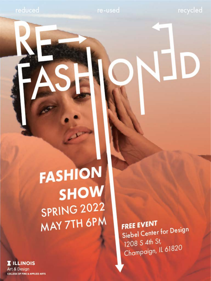reduced

recycled

# FASHION SHOW SPRING 2022 MAY 7TH 6PM

**FREE EVENT** Siebel Center for Design 1208 S 4th St, Champaign, IL 61820

**I** ILLINOIS **Art & Design COLLEGE OF FINE & APPLIED ARTS**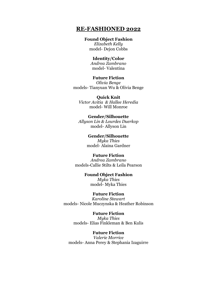# **RE-FASHIONED 2022**

#### **Found Object Fashion**

*Elizabeth Kelly* model- Dejon Cobbs

#### **Identity/Color**

*Andrea Zambrano* model- Valentina

## **Future Fiction**

*Olivia Benge* models- Tianyuan Wu & Olivia Benge

**Quick Knit** *Victor Avitia & Hallee Heredia* model- Will Monroe

#### **Gender/Silhouette** *Allyson Lin & Lourdes Duerkop*

model- Allyson Lin

**Gender/Silhouette** *Myka Thies* model- Alaina Gardner

## **Future Fiction**

*Andrea Zambrano* models-Callie Stilts & Leila Pearson

# **Found Object Fashion** *Myka Thies*

model- Myka Thies

## **Future Fiction**

*Karoline Stewart* models- Nicole Muczynska & Heather Robinson

#### **Future Fiction** *Myka Thies* models- Elias Finkleman & Ben Kulis

**Future Fiction** *Valerie Morrice* models- Anna Perey & Stephania Izaguirre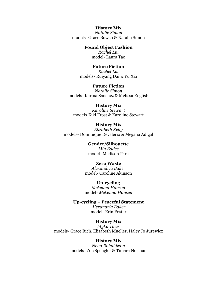## **History Mix**

*Natalie Simon* models- Grace Bowen & Natalie Simon

### **Found Object Fashion**

*Rachel Liu* model- Laura Tao

#### **Future Fiction**

*Rachel Liu* models- Ruiyang Dai & Yu Xia

# **Future Fiction**

*Natalie Simon* models- Karina Sanchez & Melissa English

#### **History Mix**

*Karoline Stewart* models-Kiki Frost & Karoline Stewart

**History Mix** *Elizabeth Kelly* models- Dominique Devalerio & Megana Adigal

> **Gender/Silhouette** *Mia Balice* model- Madison Park

#### **Zero Waste**

*Alexandria Baker* model- Caroline Akinson

**Up-cycling**

*Mckenna Hansen* model- *Mckenna Hansen*

**Up-cycling + Peaceful Statement** *Alexandria Baker* model- Erin Foster

**History Mix** *Myka Thies* models- Grace Rich, Elizabeth Mueller, Haley Jo Jurewicz

#### **History Mix**

*Nena Rohaidzam* models- Zoe Spengler & Timara Norman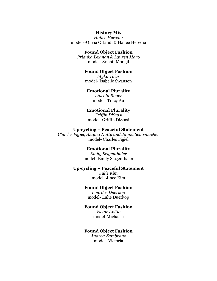#### **History Mix**

*Hallee Heredia* models-Olivia Orlandi & Hallee Heredia

## **Found Object Fashion**

*Prianka Lexman & Lauren Maro* model- Srishti Modgil

#### **Found Object Fashion**

*Myka Thies* model- Isabelle Swanson

#### **Emotional Plurality**

*Lincoln Roger* model- Tracy Au

#### **Emotional Plurality**

*Griffin DiStasi* model- Griffin DiStasi

#### **Up-cycling + Peaceful Statement**

*Charles Figiel, Alayna Nutty and Janna Schirmacher* model- Charles Figiel

## **Emotional Plurality**

*Emily Seigenthaler* model- Emily Siegenthaler

#### **Up-cycling + Peaceful Statement**

*Julie Kim* model- Jinee Kim

## **Found Object Fashion**

*Lourdes Duerkop* model- Lulie Duerkop

#### **Found Object Fashion**

*Victor Avitia* model-Michaela

# **Found Object Fashion**

*Andrea Zambrano* model- Victoria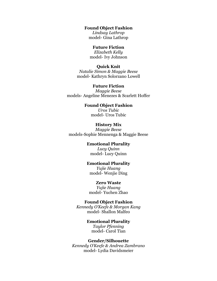#### **Found Object Fashion**

*Lindsay Lathrop* model- Gina Lathrop

## **Future Fiction**

*Elizabeth Kelly* model- Ivy Johnson

#### **Quick Knit**

*Natalie Simon & Maggie Beese* model- Kathryn Solorzano Lowell

## **Future Fiction** *Maggie Beese* models- Angeline Menezes & Scarlett Hoffer

## **Found Object Fashion** *Uros Tubic* model- Uros Tubic

# **History Mix**

*Maggie Beese* models-Sophie Mennenga & Maggie Beese

### **Emotional Plurality**

*Lucy Quinn* model- Lucy Quinn

## **Emotional Plurality**

*Yujie Huang* model- Wenjie Ding

#### **Zero Waste**

*Yujie Huang* model- Yuchen Zhao

## **Found Object Fashion**

*Kennedy O'Keefe & Morgan Kang* model- Shallon Malfeo

#### **Emotional Plurality** *Taylor Pfenning* model- Carol Tian

# **Gender/Silhouette**

*Kennedy O'Keefe & Andrea Zambrano* model- Lydia Davidsmeier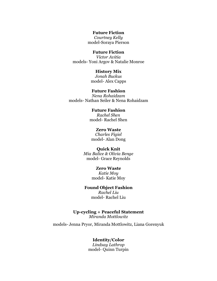**Future Fiction**

*Courtney Kelly* model-Soraya Pierson

## **Future Fiction**

*Victor Avitia* models- Yoni Argov & Natalie Monroe

#### **History Mix**

*Jonah Buckus* model- Alex Capps

**Future Fashion** *Nena Rohaidzam* models- Nathan Seiler & Nena Rohaidzam

> **Future Fashion** *Rachel Shen* model- Rachel Shen

**Zero Waste** *Charles Figiel* model- Alan Dong

#### **Quick Knit**

*Mia Balice & Olivia Benge* model- Grace Reynolds

#### **Zero Waste**

*Katie Moy* model- Katie Moy

# **Found Object Fashion**

*Rachel Liu* model- Rachel Liu

**Up-cycling + Peaceful Statement** *Miranda Mottlowitz*

models- Jenna Pryor, Miranda Mottlowitz, Liana Gorenyuk

#### **Identity/Color**

*Lindsay Lathrop* model- Quinn Turpin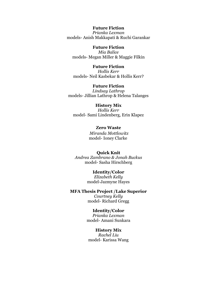**Future Fiction** *Prianka Lexman* models- Anish Makkapati & Ruchi Garankar

**Future Fiction** *Mia Balice* models- Megan Miller & Maggie Filkin

**Future Fiction** *Hollis Kerr* models- Neil Kasbekar & Hollis Kerr?

**Future Fiction** *Lindsay Lathrop* models- Jillian Lathrop & Helena Talanges

**History Mix** *Hollis Kerr* model- Sami Lindenberg, Erin Klapez

> **Zero Waste** *Miranda Mottlowitz* model- Ioney Clarke

**Quick Knit** *Andrea Zambrano & Jonah Buckus* model- Sasha Hirschberg

> **Identity/Color** *Elizabeth Kelly* model-Jazmyne Hayes

**MFA Thesis Project /Lake Superior** *Courtney Kelly* model- Richard Gregg

> **Identity/Color** *Prianka Lexman* model- Amani Sunkara

**History Mix** *Rachel Liu* model- Karissa Wang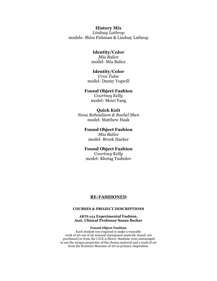## **History Mix**

*Lindsay Lathrop* models- Shira Fishman & Lindsay Lathrop

## **Identity/Color**

*Mia Balice* model- Mia Balice

#### **Identity/Color**

*Uros Tubic* model- Danny Vogwill

#### **Found Object Fashion**

*Courtney Kelly* model- Meici Yang

#### **Quick Knit**

*Nena Rohaidzam & Rachel Shen* model- Matthew Haak

#### **Found Object Fashion** *Mia Balice*

model- Brook Hacker

## **Found Object Fashion**

*Courtney Kelly* model- Khetag Tsabolov

#### **RE-FASHIONED**

#### **COURSES & PROJECT DESCRIPTIONS**

#### **ARTS 223 Experimental Fashion, Asst. Clinical Professor Susan Becker**

#### *Found Object Fashion*

Each student was required to make a wearable work of art out of an unusual repurposed material, found, not purchased (or from the I.D.E.A Store). Students were encouraged to use the unique properties of the chosen material and a work of art from the Krannert Museum of Art as primary inspiration.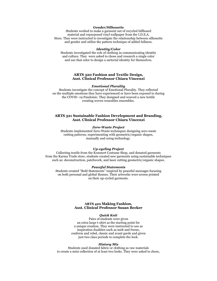#### *Gender/Silhouette*

*S*tudents worked to make a garment out of recycled billboard material and repurposed vinyl wallpaper from the I.D.E.A. Store. They were instructed to investigate the relationship between silhouette and gender and utilize the pattern technique of added fullness.

#### *Identity/Color*

Students investigated the role of clothing in communicating identity and culture. They were asked to chose and research a single color and use that color to design a sartorial identity for themselves.

#### **ARTS 320 Fashion and Textile Design, Asst. Clinical Professor Chiara Vincenzi**

#### *Emotional Plurality*

Students investigate the concept of Emotional Plurality. They reflected on the multiple emotions they have experienced or have been exposed to during the COVID -19 Pandemic. They designed and weaved a new textile creating woven wearables ensembles.

#### **ARTS 321 Sustainable Fashion Development and Branding, Asst. Clinical Professor Chiara Vincenzi**

#### *Zero-Waste Project*

Students implemented Zero-Waste techniques designing zero-waste cutting patterns, experimenting with geometric/organic shapes, manually and using technology.

#### *Up-cycling Project*

Collecting textile from the Krannert Costume Shop, and donated garments from the Karma Trade store, students created new garments using sustainable techniques such as: deconstruction, patchwork, and laser cutting geometric/organic shapes.

#### *Peaceful Statements*

Students created "Bold Statements" inspired by peaceful messages focusing on both personal and global themes. Their artworks were screen printed on their up-cycled garments.

#### **ARTS 420 Making Fashion, Asst. Clinical Professor Susan Becker**

#### *Quick Knit*

Pairs of students were given an extra large t-shirt as the starting point for a unique creation. They were instructed to use as inspiration dualities such as melt and freeze, conform and rebel, classic and avant garde and given just two class periods to complete the look.

#### *History Mix*

Students used donated fabric or clothing as raw materials to create a mini collection of at least two looks. They were asked to chose,